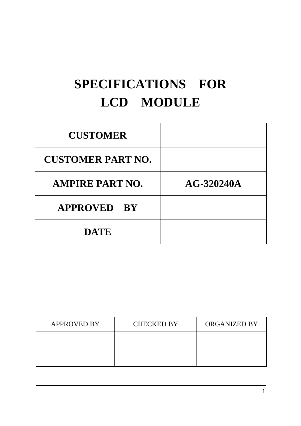# **SPECIFICATIONS FOR LCD MODULE**

| <b>CUSTOMER</b>          |              |
|--------------------------|--------------|
| <b>CUSTOMER PART NO.</b> |              |
| <b>AMPIRE PART NO.</b>   | $AG-320240A$ |
| <b>APPROVED BY</b>       |              |
| <b>DATE</b>              |              |

| <b>APPROVED BY</b> | <b>CHECKED BY</b> | ORGANIZED BY |
|--------------------|-------------------|--------------|
|                    |                   |              |
|                    |                   |              |
|                    |                   |              |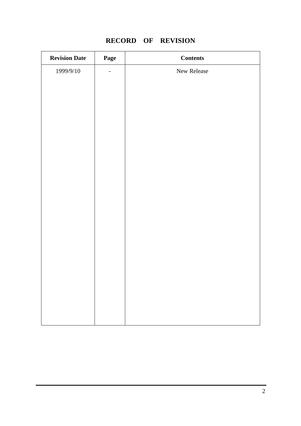# **RECORD OF REVISION**

| <b>Revision Date</b> | Page                     | <b>Contents</b> |
|----------------------|--------------------------|-----------------|
| 1999/9/10            | $\overline{\phantom{0}}$ | New Release     |
|                      |                          |                 |
|                      |                          |                 |
|                      |                          |                 |
|                      |                          |                 |
|                      |                          |                 |
|                      |                          |                 |
|                      |                          |                 |
|                      |                          |                 |
|                      |                          |                 |
|                      |                          |                 |
|                      |                          |                 |
|                      |                          |                 |
|                      |                          |                 |
|                      |                          |                 |
|                      |                          |                 |
|                      |                          |                 |
|                      |                          |                 |
|                      |                          |                 |
|                      |                          |                 |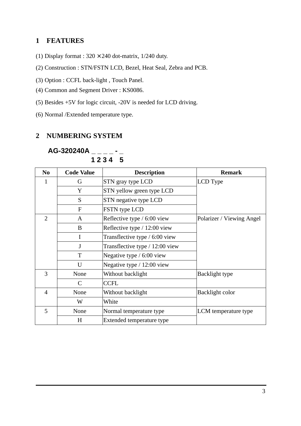#### **1 FEATURES**

- (1) Display format :  $320 \times 240$  dot-matrix, 1/240 duty.
- (2) Construction : STN/FSTN LCD, Bezel, Heat Seal, Zebra and PCB.
- (3) Option : CCFL back-light , Touch Panel.
- (4) Common and Segment Driver : KS0086.
- (5) Besides +5V for logic circuit, -20V is needed for LCD driving.
- (6) Normal /Extended temperature type.

### **2 NUMBERING SYSTEM**

| N <sub>0</sub> | <b>Code Value</b> | <b>Description</b>              | <b>Remark</b>             |
|----------------|-------------------|---------------------------------|---------------------------|
|                | G                 | STN gray type LCD               | LCD Type                  |
|                | Y                 | STN yellow green type LCD       |                           |
|                | S                 | STN negative type LCD           |                           |
|                | F                 | FSTN type LCD                   |                           |
| $\overline{2}$ | A                 | Reflective type / 6:00 view     | Polarizer / Viewing Angel |
|                | B                 | Reflective type / 12:00 view    |                           |
|                | I                 | Transflective type / 6:00 view  |                           |
|                | J                 | Transflective type / 12:00 view |                           |
|                | T                 | Negative type $/ 6:00$ view     |                           |
|                | U                 | Negative type $/ 12:00$ view    |                           |
| 3              | None              | Without backlight               | Backlight type            |
|                | $\mathcal{C}$     | <b>CCFL</b>                     |                           |
| 4              | None              | Without backlight               | Backlight color           |
|                | W                 | White                           |                           |
| 5              | None              | Normal temperature type         | LCM temperature type      |
|                | H                 | Extended temperature type       |                           |

**AG-320240A \_ \_ \_ \_ - \_**  $1234 - 5$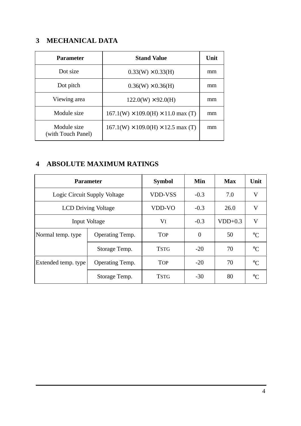# **3 MECHANICAL DATA**

| <b>Parameter</b>                  | <b>Stand Value</b>                             | Unit |
|-----------------------------------|------------------------------------------------|------|
| Dot size                          | $0.33(W) \times 0.33(H)$                       | mm   |
| Dot pitch                         | $0.36(W) \times 0.36(H)$                       | mm   |
| Viewing area                      | $122.0(W) \times 92.0(H)$                      | mm   |
| Module size                       | $167.1(W) \times 109.0(H) \times 11.0$ max (T) | mm   |
| Module size<br>(with Touch Panel) | $167.1(W) \times 109.0(H) \times 12.5$ max (T) | mm   |

## **4 ABSOLUTE MAXIMUM RATINGS**

| <b>Parameter</b>                       |                 | <b>Symbol</b>  | Min            | <b>Max</b> | Unit            |
|----------------------------------------|-----------------|----------------|----------------|------------|-----------------|
| Logic Circuit Supply Voltage           |                 | <b>VDD-VSS</b> | $-0.3$         | 7.0        | V               |
| <b>LCD Driving Voltage</b>             |                 | VDD-VO         | $-0.3$         | 26.0       | V               |
| Input Voltage                          |                 | VI             | $-0.3$         | $VDD+0.3$  | V               |
| Normal temp. type                      | Operating Temp. | <b>TOP</b>     | $\overline{0}$ | 50         | $\rm ^{\circ}C$ |
|                                        | Storage Temp.   | <b>TSTG</b>    | $-20$          | 70         | $\rm ^{\circ}C$ |
| Extended temp. type<br>Operating Temp. |                 | <b>TOP</b>     | $-20$          | 70         | $\Gamma$        |
|                                        | Storage Temp.   | <b>TSTG</b>    | $-30$          | 80         | $\circ$         |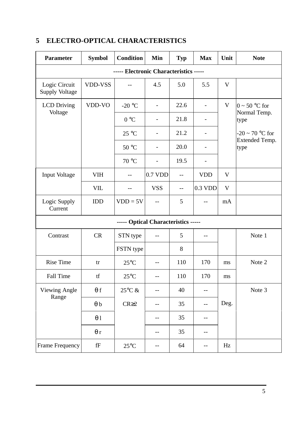| <b>Parameter</b>                       | <b>Symbol</b>        | <b>Condition</b>                    | Min                      | <b>Typ</b> | <b>Max</b> | Unit        | <b>Note</b>                   |
|----------------------------------------|----------------------|-------------------------------------|--------------------------|------------|------------|-------------|-------------------------------|
| ----- Electronic Characteristics ----- |                      |                                     |                          |            |            |             |                               |
| Logic Circuit<br><b>Supply Voltage</b> | VDD-VSS              |                                     | 4.5                      | 5.0        | 5.5        | V           |                               |
| <b>LCD</b> Driving                     | VDD-VO               | -20 $\,^{\circ}$ C                  | $\overline{\phantom{a}}$ | 22.6       |            | $\mathbf V$ | $0 \sim 50$ °C for            |
| Voltage                                |                      | 0 °C                                | $\overline{\phantom{a}}$ | 21.8       |            |             | Normal Temp.<br>type          |
|                                        |                      | $25^{\circ}$ C                      | $\overline{\phantom{a}}$ | 21.2       |            |             | $-20 \sim 70$ °C for          |
|                                        |                      | 50 °C                               | $\overline{a}$           | 20.0       |            |             | <b>Extended Temp.</b><br>type |
|                                        |                      | 70 °C                               | $\overline{\phantom{a}}$ | 19.5       |            |             |                               |
| Input Voltage                          | <b>VIH</b>           | $-$                                 | 0.7 VDD                  | $-$        | <b>VDD</b> | V           |                               |
|                                        | VIL                  | $-$                                 | <b>VSS</b>               | $-$        | 0.3 VDD    | V           |                               |
| Logic Supply<br>Current                | IDD                  | $VDD = 5V$                          |                          | 5          |            | mA          |                               |
|                                        |                      | ----- Optical Characteristics ----- |                          |            |            |             |                               |
| Contrast                               | <b>CR</b>            | STN type                            | $-$                      | 5          | $-1$       |             | Note 1                        |
|                                        |                      | FSTN type                           |                          | 8          |            |             |                               |
| <b>Rise Time</b>                       | tr                   | $25^{\circ}$ C                      | $-$                      | 110        | 170        | ms          | Note 2                        |
| Fall Time                              | tf                   | $25^{\circ}\mathrm{C}$              | $-\,-$                   | 110        | 170        | ms          |                               |
| <b>Viewing Angle</b>                   | $\theta$ f           | $25^{\circ}$ C &                    | $- -$                    | 40         | $-$        |             | Note 3                        |
| Range                                  | $\theta$ b           | $CR \geq 2$                         | $- -$                    | 35         | $-$        | Deg.        |                               |
|                                        | $\theta$ 1           |                                     | $-$                      | 35         | --         |             |                               |
|                                        | $\theta$ r           |                                     | $\qquad \qquad -$        | 35         | --         |             |                               |
| Frame Frequency                        | $\operatorname{f\!}$ | $25^{\circ}$ C                      | $-\,-$                   | 64         | $-$        | Hz          |                               |

# **5 ELECTRO-OPTICAL CHARACTERISTICS**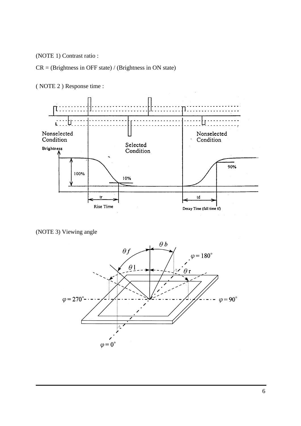(NOTE 1) Contrast ratio :

CR = (Brightness in OFF state) / (Brightness in ON state)



( NOTE 2 ) Response time :

(NOTE 3) Viewing angle

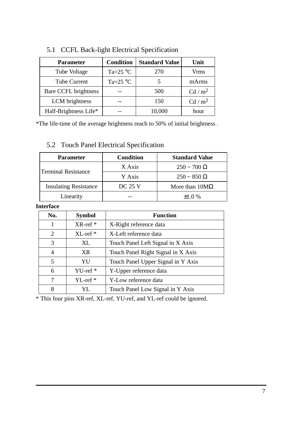| <b>Parameter</b>      | <b>Condition</b>           | <b>Standard Value</b> | Unit              |
|-----------------------|----------------------------|-----------------------|-------------------|
| Tube Voltage          | Ta= $25^{\circ}$ C         | 270                   | <b>Vrms</b>       |
| <b>Tube Current</b>   | Ta=25 $\mathrm{^{\circ}C}$ |                       | mArms             |
| Bare CCFL brightness  |                            | 500                   | Cd/m <sup>2</sup> |
| LCM brightness        |                            | 150                   | Cd/m <sup>2</sup> |
| Half-Brightness Life* |                            | 10,000                | hour              |

# 5.1 CCFL Back-light Electrical Specification

\*The life-time of the average brightness reach to 50% of initial brightness .

# 5.2 Touch Panel Electrical Specification

| <b>Parameter</b>             | <b>Condition</b> | <b>Standard Value</b> |  |
|------------------------------|------------------|-----------------------|--|
| <b>Terminal Resistance</b>   | X Axis           | $250 \sim 700 \Omega$ |  |
|                              | Y Axis           | $250 \sim 850 \Omega$ |  |
| <b>Insulating Resistance</b> | <b>DC 25 V</b>   | More than $10M\Omega$ |  |
| Linearity                    |                  | $+1.0%$               |  |

#### **Interface**

| No. | <b>Symbol</b>       | <b>Function</b>                    |
|-----|---------------------|------------------------------------|
|     | $XR$ -ref $*$       | X-Right reference data             |
| 2   | $XL$ -ref $*$       | X-Left reference data              |
| 3   | XL                  | Touch Panel Left Signal in X Axis  |
| 4   | <b>XR</b>           | Touch Panel Right Signal in X Axis |
| 5   | YU                  | Touch Panel Upper Signal in Y Axis |
| 6   | YU-ref <sup>*</sup> | Y-Upper reference data             |
| 7   | $YL-ref*$           | Y-Low reference data               |
| 8   | YL.                 | Touch Panel Low Signal in Y Axis   |

\* This four pins XR-ref, XL-ref, YU-ref, and YL-ref could be ignored.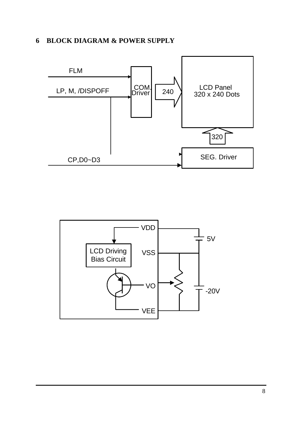### **6 BLOCK DIAGRAM & POWER SUPPLY**



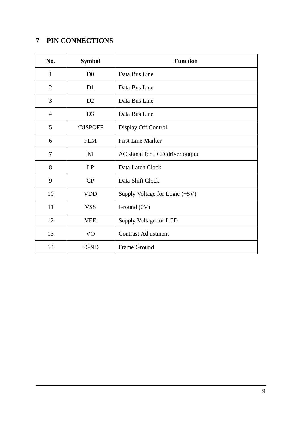## **PIN CONNECTIONS**

| No.            | <b>Symbol</b>  | <b>Function</b>                  |
|----------------|----------------|----------------------------------|
| $\mathbf{1}$   | D <sub>0</sub> | Data Bus Line                    |
| $\overline{2}$ | D <sub>1</sub> | Data Bus Line                    |
| 3              | D2             | Data Bus Line                    |
| $\overline{4}$ | D <sub>3</sub> | Data Bus Line                    |
| 5              | /DISPOFF       | Display Off Control              |
| 6              | <b>FLM</b>     | <b>First Line Marker</b>         |
| 7              | M              | AC signal for LCD driver output  |
| 8              | LP             | Data Latch Clock                 |
| 9              | CP             | Data Shift Clock                 |
| 10             | <b>VDD</b>     | Supply Voltage for Logic $(+5V)$ |
| 11             | <b>VSS</b>     | Ground (0V)                      |
| 12             | <b>VEE</b>     | Supply Voltage for LCD           |
| 13             | V <sub>O</sub> | <b>Contrast Adjustment</b>       |
| 14             | <b>FGND</b>    | Frame Ground                     |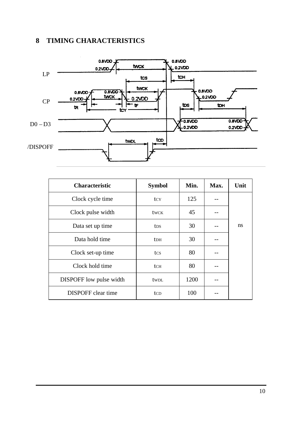## **8 TIMING CHARACTERISTICS**



| <b>Characteristic</b>          | <b>Symbol</b>   | Min. | Max. | Unit |
|--------------------------------|-----------------|------|------|------|
| Clock cycle time               | tcy             | 125  |      |      |
| Clock pulse width              | <b>twck</b>     | 45   |      |      |
| Data set up time               | tds             | 30   |      | ns   |
| Data hold time                 | <b>t</b> DH     | 30   |      |      |
| Clock set-up time              | tcs             | 80   |      |      |
| Clock hold time                | tch             | 80   |      |      |
| <b>DISPOFF</b> low pulse width | twpL            | 1200 |      |      |
| <b>DISPOFF</b> clear time      | tc <sub>D</sub> | 100  |      |      |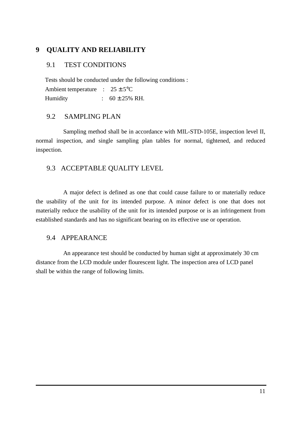#### **9 QUALITY AND RELIABILITY**

#### 9.1 TEST CONDITIONS

 Tests should be conducted under the following conditions : Ambient temperature :  $25 \pm 5^{\circ}$ C Humidity :  $60 \pm 25\% \text{ RH}$ .

#### 9.2 SAMPLING PLAN

 Sampling method shall be in accordance with MIL-STD-105E, inspection level II, normal inspection, and single sampling plan tables for normal, tightened, and reduced inspection.

#### 9.3 ACCEPTABLE QUALITY LEVEL

 A major defect is defined as one that could cause failure to or materially reduce the usability of the unit for its intended purpose. A minor defect is one that does not materially reduce the usability of the unit for its intended purpose or is an infringement from established standards and has no significant bearing on its effective use or operation.

#### 9.4 APPEARANCE

 An appearance test should be conducted by human sight at approximately 30 cm distance from the LCD module under flourescent light. The inspection area of LCD panel shall be within the range of following limits.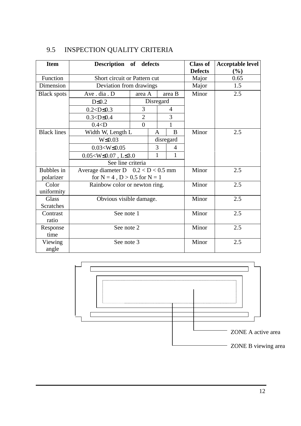| <b>Item</b>        | Description of defects                |                |           | <b>Class of</b><br><b>Defects</b> | <b>Acceptable level</b><br>(%) |              |      |  |
|--------------------|---------------------------------------|----------------|-----------|-----------------------------------|--------------------------------|--------------|------|--|
| Function           | Short circuit or Pattern cut          |                |           |                                   |                                | Major        | 0.65 |  |
| Dimension          | Deviation from drawings               |                |           |                                   |                                | Major        | 1.5  |  |
| <b>Black spots</b> | Ave.dia.D                             | area A         |           | area B                            |                                | Minor        | 2.5  |  |
|                    | $D \leq 0.2$                          |                | Disregard |                                   |                                |              |      |  |
|                    | $0.2 < D \le 0.3$                     | 3              |           | $\overline{4}$                    |                                |              |      |  |
|                    | $0.3 < D \leq 0.4$                    | $\overline{2}$ |           | 3                                 |                                |              |      |  |
|                    | 0.4 < D                               | $\theta$       |           |                                   | 1                              |              |      |  |
| <b>Black lines</b> | Width W, Length L                     |                | A         |                                   | B                              | Minor        | 2.5  |  |
|                    | $W \leq 0.03$                         |                |           | disregard                         |                                |              |      |  |
|                    | $0.03 < W \leq 0.05$                  |                | 3         |                                   | 4                              |              |      |  |
|                    | $0.05 < W \leq 0.07$ , L $\leq 3.0$   |                | 1         |                                   | 1                              |              |      |  |
|                    | See line criteria                     |                |           |                                   |                                |              |      |  |
| Bubbles in         | Average diameter D $0.2 < D < 0.5$ mm |                |           |                                   |                                | Minor        | 2.5  |  |
| polarizer          | for $N = 4$ , $D > 0.5$ for $N = 1$   |                |           |                                   |                                |              |      |  |
| Color              | Rainbow color or newton ring.         |                |           |                                   |                                | Minor<br>2.5 |      |  |
| uniformity         |                                       |                |           |                                   |                                |              |      |  |
| <b>Glass</b>       | Obvious visible damage.               |                |           |                                   |                                | Minor        | 2.5  |  |
| <b>Scratches</b>   |                                       |                |           |                                   |                                |              |      |  |
| Contrast           | See note 1                            |                |           |                                   |                                | Minor        | 2.5  |  |
| ratio              |                                       |                |           |                                   |                                |              |      |  |
| Response           | See note 2                            |                |           | Minor                             | 2.5                            |              |      |  |
| time               |                                       |                |           |                                   |                                |              |      |  |
| Viewing            | See note 3                            |                |           |                                   |                                | Minor        | 2.5  |  |
| angle              |                                       |                |           |                                   |                                |              |      |  |

# 9.5 INSPECTION QUALITY CRITERIA

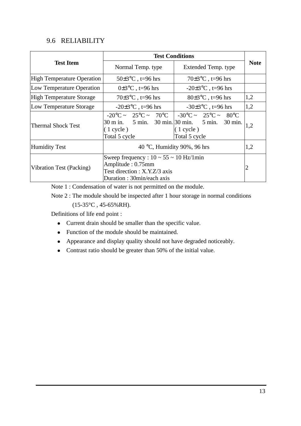#### 9.6 RELIABILITY

|                                                                                                                                                               | <b>Test Conditions</b>                                                                                                             |                                                               |             |  |  |  |  |
|---------------------------------------------------------------------------------------------------------------------------------------------------------------|------------------------------------------------------------------------------------------------------------------------------------|---------------------------------------------------------------|-------------|--|--|--|--|
| <b>Test Item</b>                                                                                                                                              | Normal Temp. type                                                                                                                  | Extended Temp. type                                           | <b>Note</b> |  |  |  |  |
| <b>High Temperature Operation</b>                                                                                                                             | $50\pm3\degree C$ , t=96 hrs                                                                                                       | $70\pm3\degree C$ , t=96 hrs                                  |             |  |  |  |  |
| Low Temperature Operation                                                                                                                                     | $0\pm3\degree C$ , t=96 hrs                                                                                                        | $-20\pm3$ °C, t=96 hrs                                        |             |  |  |  |  |
| <b>High Temperature Storage</b>                                                                                                                               | $70\pm3\degree C$ , t=96 hrs                                                                                                       | $80\pm3\degree C$ , t=96 hrs                                  | 1,2         |  |  |  |  |
| Low Temperature Storage                                                                                                                                       | $-20\pm3\degree C$ , t=96 hrs                                                                                                      | $-30\pm3$ °C, t=96 hrs                                        | 1,2         |  |  |  |  |
| <b>Thermal Shock Test</b>                                                                                                                                     | $-20\degree C \sim 25\degree C \sim 70\degree C$<br>30 m in. 5 min. 30 min. 30 min. 5 min. 30 min.<br>$(1$ cycle)<br>Total 5 cycle | $-30^{\circ}$ C ~ 25°C ~ 80°C<br>$(1$ cycle)<br>Total 5 cycle | 1,2         |  |  |  |  |
| <b>Humidity Test</b>                                                                                                                                          | 40 °C, Humidity 90%, 96 hrs                                                                                                        |                                                               |             |  |  |  |  |
| Sweep frequency : $10 \sim 55 \sim 10$ Hz/1min<br>Amplitude: 0.75mm<br>Vibration Test (Packing)<br>Test direction : X.Y.Z/3 axis<br>Duration: 30min/each axis |                                                                                                                                    |                                                               |             |  |  |  |  |

Note 1 : Condensation of water is not permitted on the module.

 Note 2 : The module should be inspected after 1 hour storage in normal conditions  $(15-35^{\circ}C, 45-65\%RH).$ 

Definitions of life end point :

- Current drain should be smaller than the specific value.
- Function of the module should be maintained.
- Appearance and display quality should not have degraded noticeably.
- Contrast ratio should be greater than 50% of the initial value.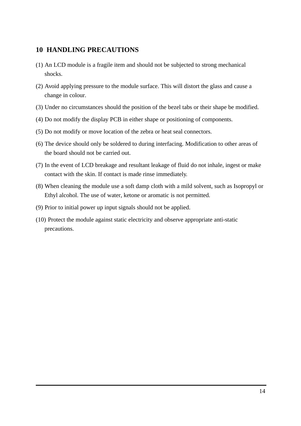#### **10 HANDLING PRECAUTIONS**

- (1) An LCD module is a fragile item and should not be subjected to strong mechanical shocks.
- (2) Avoid applying pressure to the module surface. This will distort the glass and cause a change in colour.
- (3) Under no circumstances should the position of the bezel tabs or their shape be modified.
- (4) Do not modify the display PCB in either shape or positioning of components.
- (5) Do not modify or move location of the zebra or heat seal connectors.
- (6) The device should only be soldered to during interfacing. Modification to other areas of the board should not be carried out.
- (7) In the event of LCD breakage and resultant leakage of fluid do not inhale, ingest or make contact with the skin. If contact is made rinse immediately.
- (8) When cleaning the module use a soft damp cloth with a mild solvent, such as Isopropyl or Ethyl alcohol. The use of water, ketone or aromatic is not permitted.
- (9) Prior to initial power up input signals should not be applied.
- (10) Protect the module against static electricity and observe appropriate anti-static precautions.